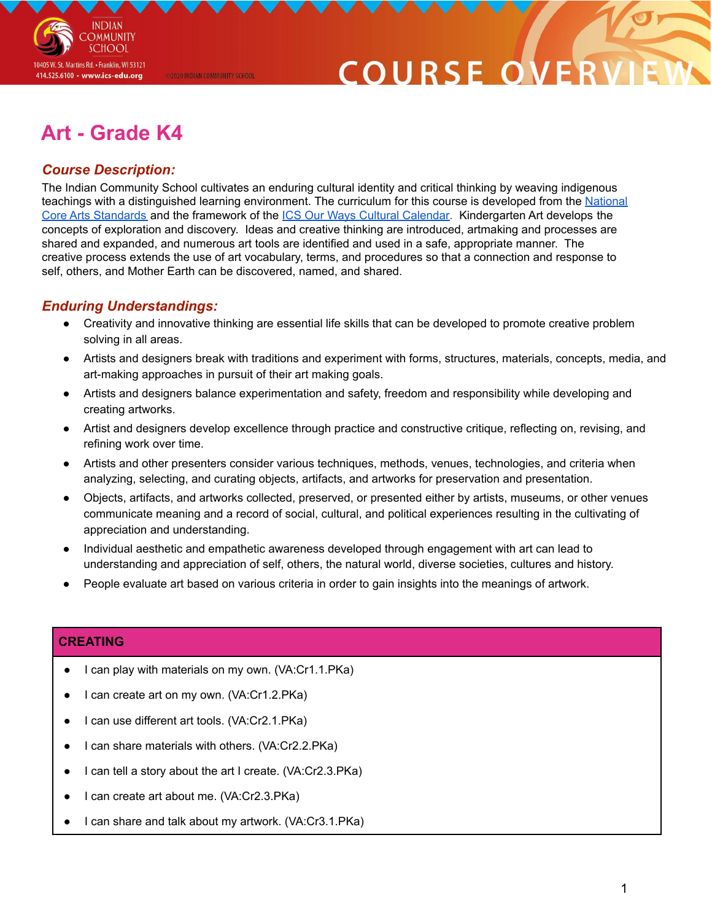

# **COURSE O**

# **Art - Grade K4**

@2020 INDIAN COMMUNITY SCHOOL

### *Course Description:*

The Indian Community School cultivates an enduring cultural identity and critical thinking by weaving indigenous teachings with a distinguished learning environment. The curriculum for this course is developed from the [National](https://nationalartsstandards.org/sites/default/files/Visual%20Arts%20at%20a%20Glance%20-%20new%20copyright%20info.pdf) Core Arts [Standards](https://nationalartsstandards.org/sites/default/files/Visual%20Arts%20at%20a%20Glance%20-%20new%20copyright%20info.pdf) and the framework of the ICS Our Ways Cultural [Calendar.](https://drive.google.com/open?id=0B7pONXiRIufTT3VHOXBBeG9USHMzbDNIUi1nV0NTbURCMFRZ) Kindergarten Art develops the concepts of exploration and discovery. Ideas and creative thinking are introduced, artmaking and processes are shared and expanded, and numerous art tools are identified and used in a safe, appropriate manner. The creative process extends the use of art vocabulary, terms, and procedures so that a connection and response to self, others, and Mother Earth can be discovered, named, and shared.

#### *Enduring Understandings:*

- Creativity and innovative thinking are essential life skills that can be developed to promote creative problem solving in all areas.
- Artists and designers break with traditions and experiment with forms, structures, materials, concepts, media, and art-making approaches in pursuit of their art making goals.
- Artists and designers balance experimentation and safety, freedom and responsibility while developing and creating artworks.
- Artist and designers develop excellence through practice and constructive critique, reflecting on, revising, and refining work over time.
- Artists and other presenters consider various techniques, methods, venues, technologies, and criteria when analyzing, selecting, and curating objects, artifacts, and artworks for preservation and presentation.
- Objects, artifacts, and artworks collected, preserved, or presented either by artists, museums, or other venues communicate meaning and a record of social, cultural, and political experiences resulting in the cultivating of appreciation and understanding.
- Individual aesthetic and empathetic awareness developed through engagement with art can lead to understanding and appreciation of self, others, the natural world, diverse societies, cultures and history.
- People evaluate art based on various criteria in order to gain insights into the meanings of artwork.

#### **CREATING**

- I can play with materials on my own. (VA:Cr1.1.PKa)
- I can create art on my own. (VA:Cr1.2.PKa)
- I can use different art tools. (VA:Cr2.1.PKa)
- I can share materials with others. (VA:Cr2.2.PKa)
- I can tell a story about the art I create. (VA:Cr2.3.PKa)
- I can create art about me. (VA:Cr2.3.PKa)
- I can share and talk about my artwork. (VA:Cr3.1.PKa)